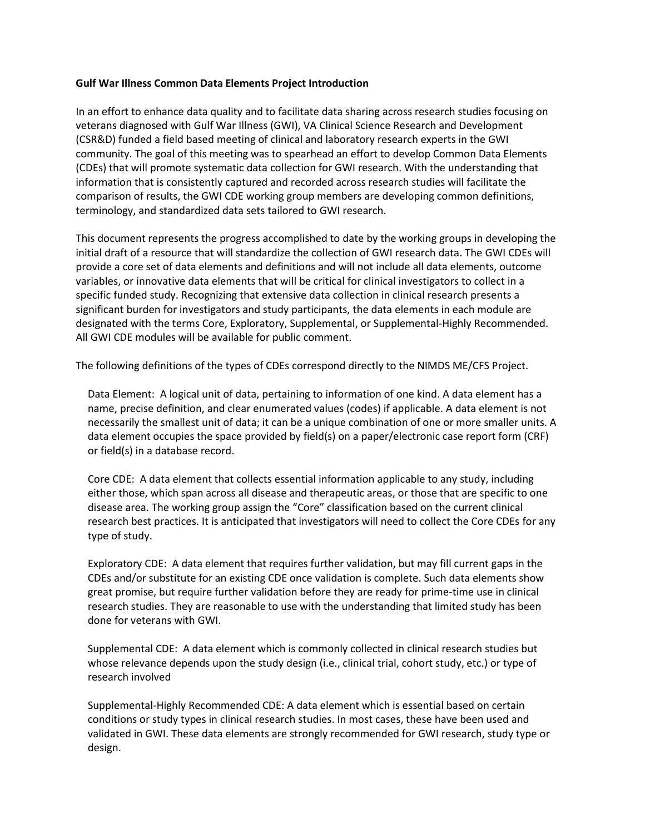## **Gulf War Illness Common Data Elements Project Introduction**

In an effort to enhance data quality and to facilitate data sharing across research studies focusing on veterans diagnosed with Gulf War Illness (GWI), VA Clinical Science Research and Development (CSR&D) funded a field based meeting of clinical and laboratory research experts in the GWI community. The goal of this meeting was to spearhead an effort to develop Common Data Elements (CDEs) that will promote systematic data collection for GWI research. With the understanding that information that is consistently captured and recorded across research studies will facilitate the comparison of results, the GWI CDE working group members are developing common definitions, terminology, and standardized data sets tailored to GWI research.

This document represents the progress accomplished to date by the working groups in developing the initial draft of a resource that will standardize the collection of GWI research data. The GWI CDEs will provide a core set of data elements and definitions and will not include all data elements, outcome variables, or innovative data elements that will be critical for clinical investigators to collect in a specific funded study. Recognizing that extensive data collection in clinical research presents a significant burden for investigators and study participants, the data elements in each module are designated with the terms Core, Exploratory, Supplemental, or Supplemental-Highly Recommended. All GWI CDE modules will be available for public comment.

The following definitions of the types of CDEs correspond directly to the NIMDS ME/CFS Project.

Data Element: A logical unit of data, pertaining to information of one kind. A data element has a name, precise definition, and clear enumerated values (codes) if applicable. A data element is not necessarily the smallest unit of data; it can be a unique combination of one or more smaller units. A data element occupies the space provided by field(s) on a paper/electronic case report form (CRF) or field(s) in a database record.

Core CDE: A data element that collects essential information applicable to any study, including either those, which span across all disease and therapeutic areas, or those that are specific to one disease area. The working group assign the "Core" classification based on the current clinical research best practices. It is anticipated that investigators will need to collect the Core CDEs for any type of study.

Exploratory CDE: A data element that requires further validation, but may fill current gaps in the CDEs and/or substitute for an existing CDE once validation is complete. Such data elements show great promise, but require further validation before they are ready for prime-time use in clinical research studies. They are reasonable to use with the understanding that limited study has been done for veterans with GWI.

Supplemental CDE: A data element which is commonly collected in clinical research studies but whose relevance depends upon the study design (i.e., clinical trial, cohort study, etc.) or type of research involved

Supplemental-Highly Recommended CDE: A data element which is essential based on certain conditions or study types in clinical research studies. In most cases, these have been used and validated in GWI. These data elements are strongly recommended for GWI research, study type or design.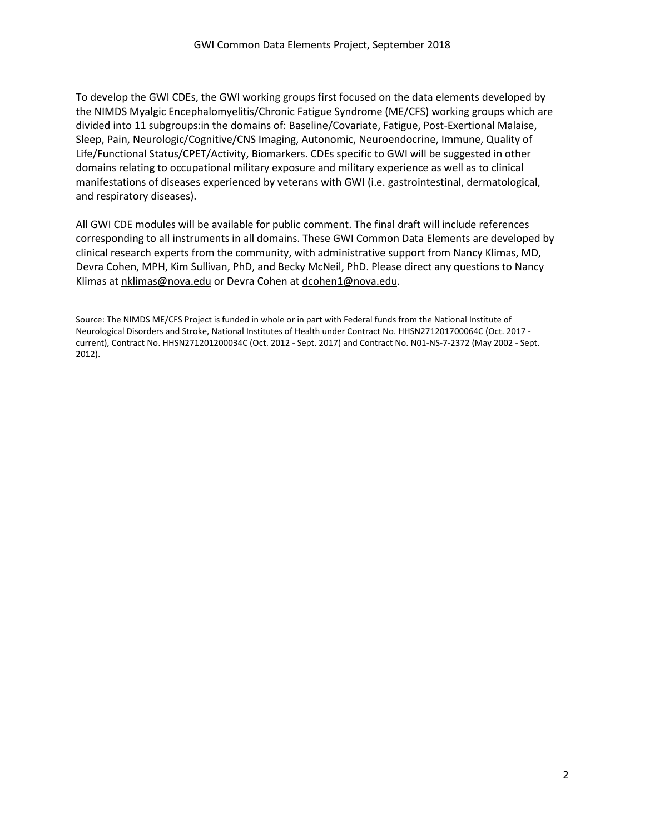To develop the GWI CDEs, the GWI working groups first focused on the data elements developed by the NIMDS Myalgic Encephalomyelitis/Chronic Fatigue Syndrome (ME/CFS) working groups which are divided into 11 subgroups:in the domains of: Baseline/Covariate, Fatigue, Post-Exertional Malaise, Sleep, Pain, Neurologic/Cognitive/CNS Imaging, Autonomic, Neuroendocrine, Immune, Quality of Life/Functional Status/CPET/Activity, Biomarkers. CDEs specific to GWI will be suggested in other domains relating to occupational military exposure and military experience as well as to clinical manifestations of diseases experienced by veterans with GWI (i.e. gastrointestinal, dermatological, and respiratory diseases).

All GWI CDE modules will be available for public comment. The final draft will include references corresponding to all instruments in all domains. These GWI Common Data Elements are developed by clinical research experts from the community, with administrative support from Nancy Klimas, MD, Devra Cohen, MPH, Kim Sullivan, PhD, and Becky McNeil, PhD. Please direct any questions to Nancy Klimas at [nklimas@nova.edu](mailto:nklimas@nova.edu) or Devra Cohen a[t dcohen1@nova.edu.](mailto:dcohen1@nova.edu)

Source: The NIMDS ME/CFS Project is funded in whole or in part with Federal funds from the National Institute of Neurological Disorders and Stroke, National Institutes of Health under Contract No. HHSN271201700064C (Oct. 2017 current), Contract No. HHSN271201200034C (Oct. 2012 - Sept. 2017) and Contract No. N01-NS-7-2372 (May 2002 - Sept. 2012).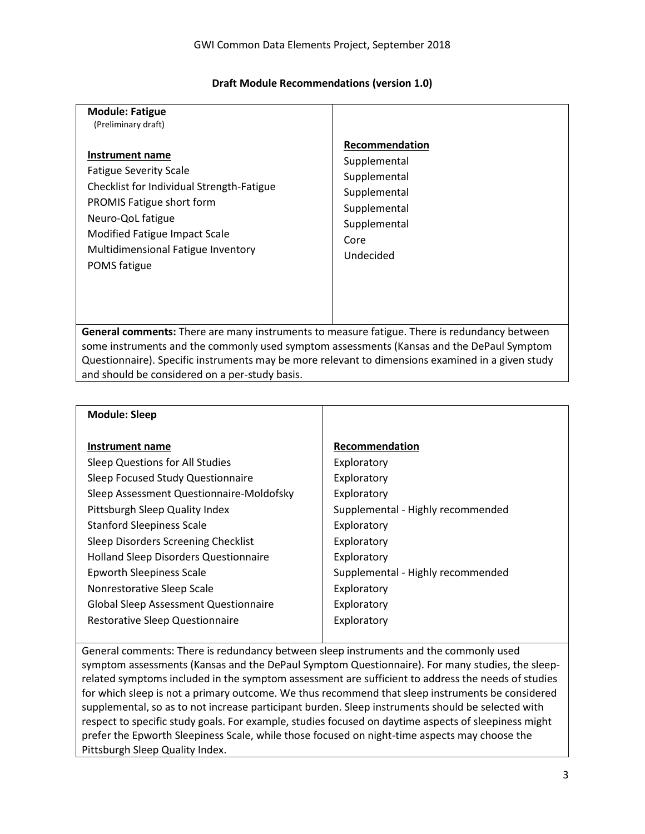## **Draft Module Recommendations (version 1.0)**

| <b>Module: Fatigue</b><br>(Preliminary draft)                                                                                                                                                                                          |                                                                                                                     |
|----------------------------------------------------------------------------------------------------------------------------------------------------------------------------------------------------------------------------------------|---------------------------------------------------------------------------------------------------------------------|
| Instrument name<br><b>Fatigue Severity Scale</b><br>Checklist for Individual Strength-Fatigue<br>PROMIS Fatigue short form<br>Neuro-QoL fatigue<br>Modified Fatigue Impact Scale<br>Multidimensional Fatigue Inventory<br>POMS fatigue | Recommendation<br>Supplemental<br>Supplemental<br>Supplemental<br>Supplemental<br>Supplemental<br>Core<br>Undecided |
| <b>General comments:</b> There are many instruments to measure fatigue. There is redundancy between                                                                                                                                    |                                                                                                                     |

some instruments and the commonly used symptom assessments (Kansas and the DePaul Symptom Questionnaire). Specific instruments may be more relevant to dimensions examined in a given study and should be considered on a per-study basis.

| <b>Module: Sleep</b>                         |                                   |
|----------------------------------------------|-----------------------------------|
| Instrument name                              | Recommendation                    |
| Sleep Questions for All Studies              | Exploratory                       |
| Sleep Focused Study Questionnaire            | Exploratory                       |
| Sleep Assessment Questionnaire-Moldofsky     | Exploratory                       |
| Pittsburgh Sleep Quality Index               | Supplemental - Highly recommended |
| <b>Stanford Sleepiness Scale</b>             | Exploratory                       |
| Sleep Disorders Screening Checklist          | Exploratory                       |
| <b>Holland Sleep Disorders Questionnaire</b> | Exploratory                       |
| <b>Epworth Sleepiness Scale</b>              | Supplemental - Highly recommended |
| Nonrestorative Sleep Scale                   | Exploratory                       |
| <b>Global Sleep Assessment Questionnaire</b> | Exploratory                       |
| Restorative Sleep Questionnaire              | Exploratory                       |
|                                              |                                   |

General comments: There is redundancy between sleep instruments and the commonly used symptom assessments (Kansas and the DePaul Symptom Questionnaire). For many studies, the sleeprelated symptoms included in the symptom assessment are sufficient to address the needs of studies for which sleep is not a primary outcome. We thus recommend that sleep instruments be considered supplemental, so as to not increase participant burden. Sleep instruments should be selected with respect to specific study goals. For example, studies focused on daytime aspects of sleepiness might prefer the Epworth Sleepiness Scale, while those focused on night-time aspects may choose the Pittsburgh Sleep Quality Index.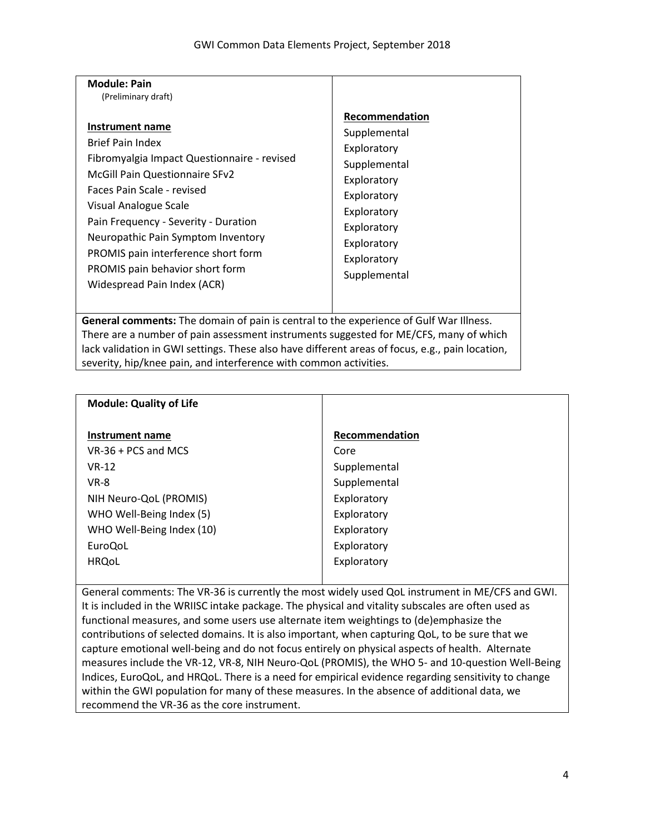| <b>Module: Pain</b>                                                                                                                                                                                                                                                                                                                                                              |                                                                                                                                                                         |  |
|----------------------------------------------------------------------------------------------------------------------------------------------------------------------------------------------------------------------------------------------------------------------------------------------------------------------------------------------------------------------------------|-------------------------------------------------------------------------------------------------------------------------------------------------------------------------|--|
| (Preliminary draft)                                                                                                                                                                                                                                                                                                                                                              |                                                                                                                                                                         |  |
| Instrument name<br><b>Brief Pain Index</b><br>Fibromyalgia Impact Questionnaire - revised<br><b>McGill Pain Questionnaire SFv2</b><br>Faces Pain Scale - revised<br>Visual Analogue Scale<br>Pain Frequency - Severity - Duration<br>Neuropathic Pain Symptom Inventory<br>PROMIS pain interference short form<br>PROMIS pain behavior short form<br>Widespread Pain Index (ACR) | Recommendation<br>Supplemental<br>Exploratory<br>Supplemental<br>Exploratory<br>Exploratory<br>Exploratory<br>Exploratory<br>Exploratory<br>Exploratory<br>Supplemental |  |
| General comments: The domain of pain is central to the experience of Gulf War Illness.                                                                                                                                                                                                                                                                                           |                                                                                                                                                                         |  |
| There are a number of pain assessment instruments suggested for ME/CFS, many of which                                                                                                                                                                                                                                                                                            |                                                                                                                                                                         |  |
| lack validation in GWI settings. These also have different areas of focus, e.g., pain location,                                                                                                                                                                                                                                                                                  |                                                                                                                                                                         |  |
| severity, hip/knee pain, and interference with common activities.                                                                                                                                                                                                                                                                                                                |                                                                                                                                                                         |  |

| <b>Module: Quality of Life</b> |                |
|--------------------------------|----------------|
| Instrument name                | Recommendation |
| $VR-36 + PCs$ and MCS          | Core           |
| $VR-12$                        | Supplemental   |
| <b>VR-8</b>                    | Supplemental   |
| NIH Neuro-QoL (PROMIS)         | Exploratory    |
| WHO Well-Being Index (5)       | Exploratory    |
| WHO Well-Being Index (10)      | Exploratory    |
| EuroQoL                        | Exploratory    |
| <b>HRQoL</b>                   | Exploratory    |
|                                |                |

General comments: The VR-36 is currently the most widely used QoL instrument in ME/CFS and GWI. It is included in the WRIISC intake package. The physical and vitality subscales are often used as functional measures, and some users use alternate item weightings to (de)emphasize the contributions of selected domains. It is also important, when capturing QoL, to be sure that we capture emotional well-being and do not focus entirely on physical aspects of health. Alternate measures include the VR-12, VR-8, NIH Neuro-QoL (PROMIS), the WHO 5- and 10-question Well-Being Indices, EuroQoL, and HRQoL. There is a need for empirical evidence regarding sensitivity to change within the GWI population for many of these measures. In the absence of additional data, we recommend the VR-36 as the core instrument.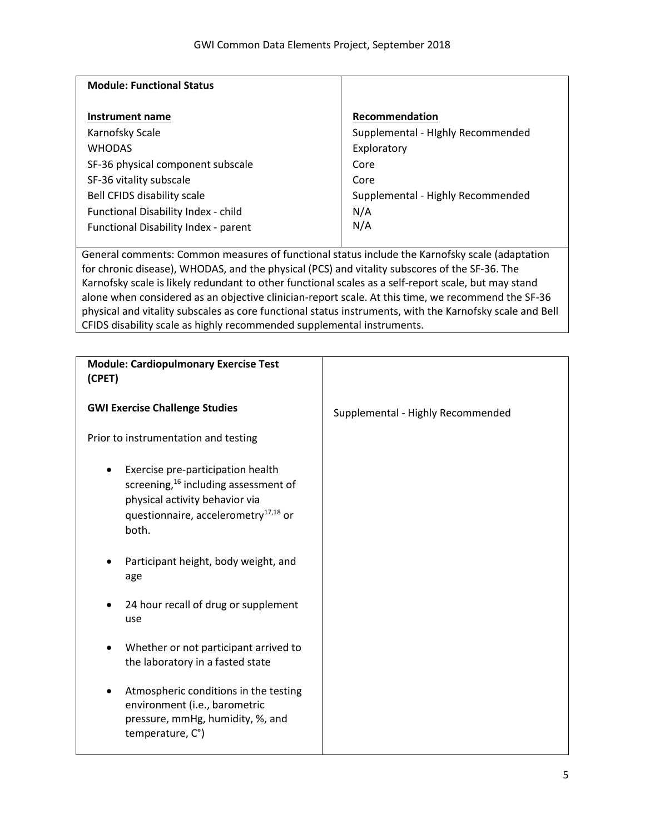| <b>Module: Functional Status</b>                                                                                                                                                                                                                                                                                                                                                                                                                                                                                                                                                                    |                                                                                                                                       |
|-----------------------------------------------------------------------------------------------------------------------------------------------------------------------------------------------------------------------------------------------------------------------------------------------------------------------------------------------------------------------------------------------------------------------------------------------------------------------------------------------------------------------------------------------------------------------------------------------------|---------------------------------------------------------------------------------------------------------------------------------------|
| <b>Instrument name</b><br>Karnofsky Scale<br><b>WHODAS</b><br>SF-36 physical component subscale<br>SF-36 vitality subscale<br><b>Bell CFIDS disability scale</b><br>Functional Disability Index - child<br>Functional Disability Index - parent                                                                                                                                                                                                                                                                                                                                                     | Recommendation<br>Supplemental - Highly Recommended<br>Exploratory<br>Core<br>Core<br>Supplemental - Highly Recommended<br>N/A<br>N/A |
| General comments: Common measures of functional status include the Karnofsky scale (adaptation<br>for chronic disease), WHODAS, and the physical (PCS) and vitality subscores of the SF-36. The<br>Karnofsky scale is likely redundant to other functional scales as a self-report scale, but may stand<br>alone when considered as an objective clinician-report scale. At this time, we recommend the SF-36<br>physical and vitality subscales as core functional status instruments, with the Karnofsky scale and Bell<br>CFIDS disability scale as highly recommended supplemental instruments. |                                                                                                                                       |
| <b>Module: Cardiopulmonary Exercise Test</b>                                                                                                                                                                                                                                                                                                                                                                                                                                                                                                                                                        |                                                                                                                                       |
| (CPET)                                                                                                                                                                                                                                                                                                                                                                                                                                                                                                                                                                                              |                                                                                                                                       |
| <b>GWI Exercise Challenge Studies</b>                                                                                                                                                                                                                                                                                                                                                                                                                                                                                                                                                               | Supplemental - Highly Recommended                                                                                                     |
| Prior to instrumentation and testing                                                                                                                                                                                                                                                                                                                                                                                                                                                                                                                                                                |                                                                                                                                       |
| Exercise pre-participation health<br>screening, <sup>16</sup> including assessment of<br>physical activity behavior via<br>questionnaire, accelerometry <sup>17,18</sup> or<br>both.                                                                                                                                                                                                                                                                                                                                                                                                                |                                                                                                                                       |
| Participant height, body weight, and<br>age                                                                                                                                                                                                                                                                                                                                                                                                                                                                                                                                                         |                                                                                                                                       |
| 24 hour recall of drug or supplement<br>use                                                                                                                                                                                                                                                                                                                                                                                                                                                                                                                                                         |                                                                                                                                       |
| Whether or not participant arrived to<br>the laboratory in a fasted state                                                                                                                                                                                                                                                                                                                                                                                                                                                                                                                           |                                                                                                                                       |
| Atmospheric conditions in the testing<br>environment (i.e., barometric<br>pressure, mmHg, humidity, %, and<br>temperature, C°)                                                                                                                                                                                                                                                                                                                                                                                                                                                                      |                                                                                                                                       |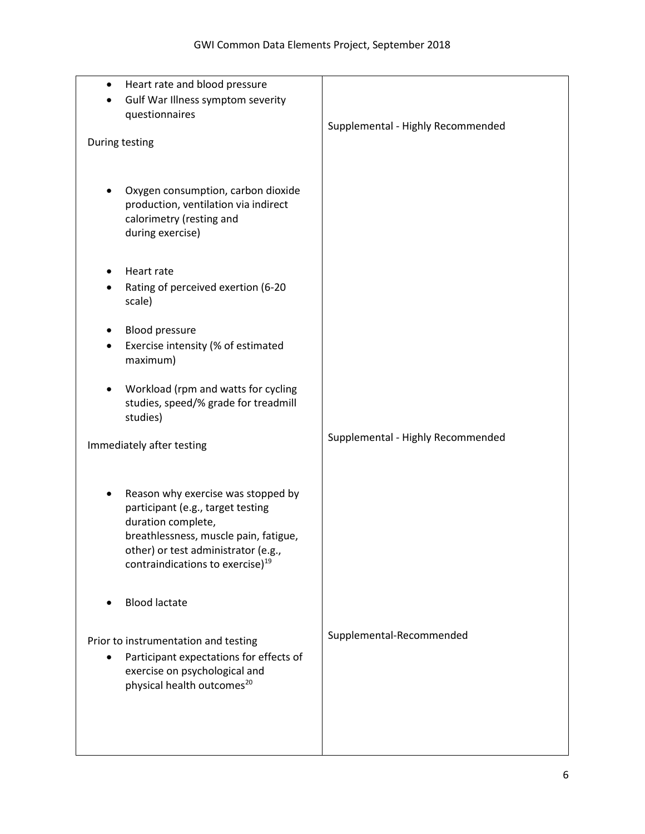| $\bullet$ | Heart rate and blood pressure                                           |                                   |
|-----------|-------------------------------------------------------------------------|-----------------------------------|
|           | Gulf War Illness symptom severity                                       |                                   |
|           | questionnaires                                                          |                                   |
|           |                                                                         | Supplemental - Highly Recommended |
|           | During testing                                                          |                                   |
|           |                                                                         |                                   |
|           |                                                                         |                                   |
|           | Oxygen consumption, carbon dioxide                                      |                                   |
|           | production, ventilation via indirect                                    |                                   |
|           | calorimetry (resting and                                                |                                   |
|           | during exercise)                                                        |                                   |
|           |                                                                         |                                   |
|           |                                                                         |                                   |
|           | Heart rate                                                              |                                   |
|           | Rating of perceived exertion (6-20                                      |                                   |
|           | scale)                                                                  |                                   |
|           | <b>Blood pressure</b>                                                   |                                   |
|           | Exercise intensity (% of estimated                                      |                                   |
|           | maximum)                                                                |                                   |
|           |                                                                         |                                   |
|           | Workload (rpm and watts for cycling                                     |                                   |
|           | studies, speed/% grade for treadmill                                    |                                   |
|           | studies)                                                                |                                   |
|           |                                                                         | Supplemental - Highly Recommended |
|           | Immediately after testing                                               |                                   |
|           |                                                                         |                                   |
|           |                                                                         |                                   |
|           | Reason why exercise was stopped by                                      |                                   |
|           | participant (e.g., target testing                                       |                                   |
|           | duration complete,                                                      |                                   |
|           | breathlessness, muscle pain, fatigue,                                   |                                   |
|           | other) or test administrator (e.g.,                                     |                                   |
|           | contraindications to exercise) <sup>19</sup>                            |                                   |
|           |                                                                         |                                   |
|           | <b>Blood lactate</b>                                                    |                                   |
|           |                                                                         |                                   |
|           |                                                                         | Supplemental-Recommended          |
|           | Prior to instrumentation and testing                                    |                                   |
| $\bullet$ | Participant expectations for effects of                                 |                                   |
|           | exercise on psychological and<br>physical health outcomes <sup>20</sup> |                                   |
|           |                                                                         |                                   |
|           |                                                                         |                                   |
|           |                                                                         |                                   |
|           |                                                                         |                                   |
|           |                                                                         |                                   |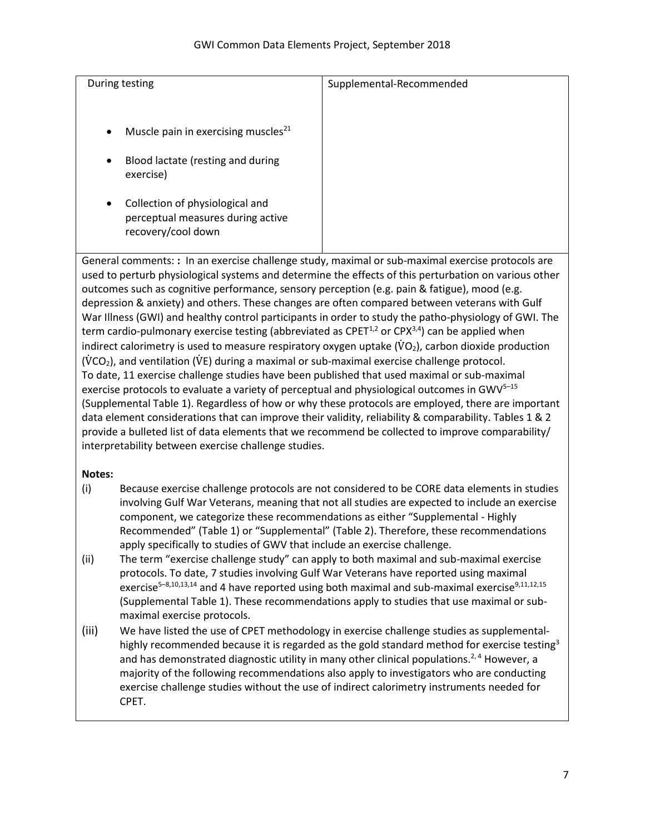| During testing                                                                                          | Supplemental-Recommended |
|---------------------------------------------------------------------------------------------------------|--------------------------|
| Muscle pain in exercising muscles <sup>21</sup><br>$\bullet$                                            |                          |
| Blood lactate (resting and during<br>$\bullet$<br>exercise)                                             |                          |
| Collection of physiological and<br>$\bullet$<br>perceptual measures during active<br>recovery/cool down |                          |

General comments: **:** In an exercise challenge study, maximal or sub-maximal exercise protocols are used to perturb physiological systems and determine the effects of this perturbation on various other outcomes such as cognitive performance, sensory perception (e.g. pain & fatigue), mood (e.g. depression & anxiety) and others. These changes are often compared between veterans with Gulf War Illness (GWI) and healthy control participants in order to study the patho-physiology of GWI. The term cardio-pulmonary exercise testing (abbreviated as CPET<sup>1,2</sup> or CPX<sup>3,4</sup>) can be applied when indirect calorimetry is used to measure respiratory oxygen uptake  $(\rm \ddot{V}O_2)$ , carbon dioxide production  $(VCO<sub>2</sub>)$ , and ventilation (VE) during a maximal or sub-maximal exercise challenge protocol. To date, 11 exercise challenge studies have been published that used maximal or sub-maximal exercise protocols to evaluate a variety of perceptual and physiological outcomes in  $GWV<sup>5-15</sup>$ (Supplemental Table 1). Regardless of how or why these protocols are employed, there are important data element considerations that can improve their validity, reliability & comparability. Tables 1 & 2 provide a bulleted list of data elements that we recommend be collected to improve comparability/ interpretability between exercise challenge studies.

## **Notes:**

- (i) Because exercise challenge protocols are not considered to be CORE data elements in studies involving Gulf War Veterans, meaning that not all studies are expected to include an exercise component, we categorize these recommendations as either "Supplemental - Highly Recommended" (Table 1) or "Supplemental" (Table 2). Therefore, these recommendations apply specifically to studies of GWV that include an exercise challenge.
- (ii) The term "exercise challenge study" can apply to both maximal and sub-maximal exercise protocols. To date, 7 studies involving Gulf War Veterans have reported using maximal exercise<sup>5-8,10,13,14</sup> and 4 have reported using both maximal and sub-maximal exercise<sup>9,11,12,15</sup> (Supplemental Table 1). These recommendations apply to studies that use maximal or submaximal exercise protocols.
- (iii) We have listed the use of CPET methodology in exercise challenge studies as supplementalhighly recommended because it is regarded as the gold standard method for exercise testing<sup>3</sup> and has demonstrated diagnostic utility in many other clinical populations.<sup>2, 4</sup> However, a majority of the following recommendations also apply to investigators who are conducting exercise challenge studies without the use of indirect calorimetry instruments needed for CPET.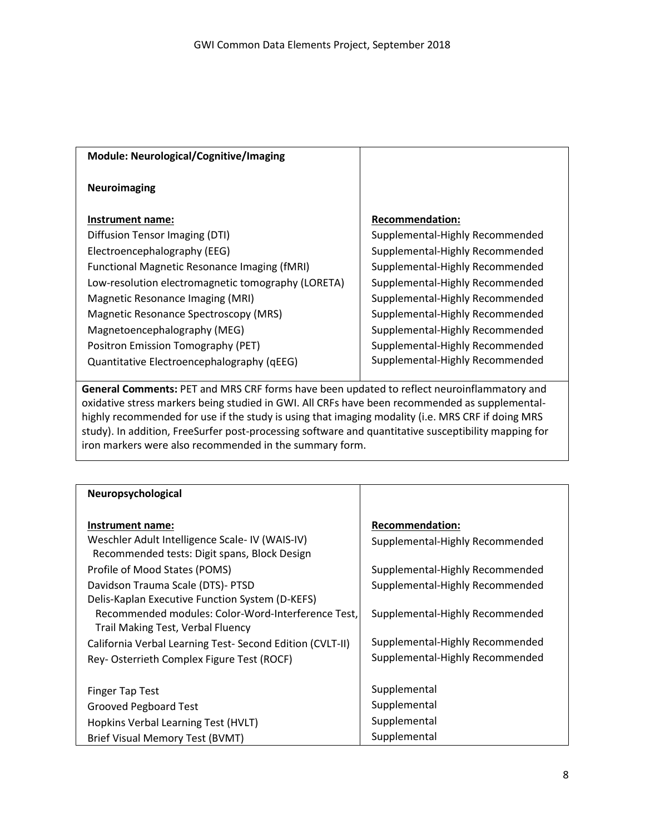| Module: Neurological/Cognitive/Imaging             |                                 |
|----------------------------------------------------|---------------------------------|
| <b>Neuroimaging</b>                                |                                 |
| Instrument name:                                   | <b>Recommendation:</b>          |
| Diffusion Tensor Imaging (DTI)                     | Supplemental-Highly Recommended |
| Electroencephalography (EEG)                       | Supplemental-Highly Recommended |
| Functional Magnetic Resonance Imaging (fMRI)       | Supplemental-Highly Recommended |
| Low-resolution electromagnetic tomography (LORETA) | Supplemental-Highly Recommended |
| Magnetic Resonance Imaging (MRI)                   | Supplemental-Highly Recommended |
| Magnetic Resonance Spectroscopy (MRS)              | Supplemental-Highly Recommended |
| Magnetoencephalography (MEG)                       | Supplemental-Highly Recommended |
| Positron Emission Tomography (PET)                 | Supplemental-Highly Recommended |
| Quantitative Electroencephalography (qEEG)         | Supplemental-Highly Recommended |

**General Comments:** PET and MRS CRF forms have been updated to reflect neuroinflammatory and oxidative stress markers being studied in GWI. All CRFs have been recommended as supplementalhighly recommended for use if the study is using that imaging modality (i.e. MRS CRF if doing MRS study). In addition, FreeSurfer post-processing software and quantitative susceptibility mapping for iron markers were also recommended in the summary form.

| Neuropsychological                                                                                                                                |                                 |
|---------------------------------------------------------------------------------------------------------------------------------------------------|---------------------------------|
| Instrument name:                                                                                                                                  | <b>Recommendation:</b>          |
| Weschler Adult Intelligence Scale- IV (WAIS-IV)<br>Recommended tests: Digit spans, Block Design                                                   | Supplemental-Highly Recommended |
| Profile of Mood States (POMS)                                                                                                                     | Supplemental-Highly Recommended |
| Davidson Trauma Scale (DTS)- PTSD                                                                                                                 | Supplemental-Highly Recommended |
| Delis-Kaplan Executive Function System (D-KEFS)<br>Recommended modules: Color-Word-Interference Test,<br><b>Trail Making Test, Verbal Fluency</b> | Supplemental-Highly Recommended |
| California Verbal Learning Test- Second Edition (CVLT-II)                                                                                         | Supplemental-Highly Recommended |
| Rey-Osterrieth Complex Figure Test (ROCF)                                                                                                         | Supplemental-Highly Recommended |
|                                                                                                                                                   |                                 |
| Finger Tap Test                                                                                                                                   | Supplemental                    |
| <b>Grooved Pegboard Test</b>                                                                                                                      | Supplemental                    |
| Hopkins Verbal Learning Test (HVLT)                                                                                                               | Supplemental                    |
| Brief Visual Memory Test (BVMT)                                                                                                                   | Supplemental                    |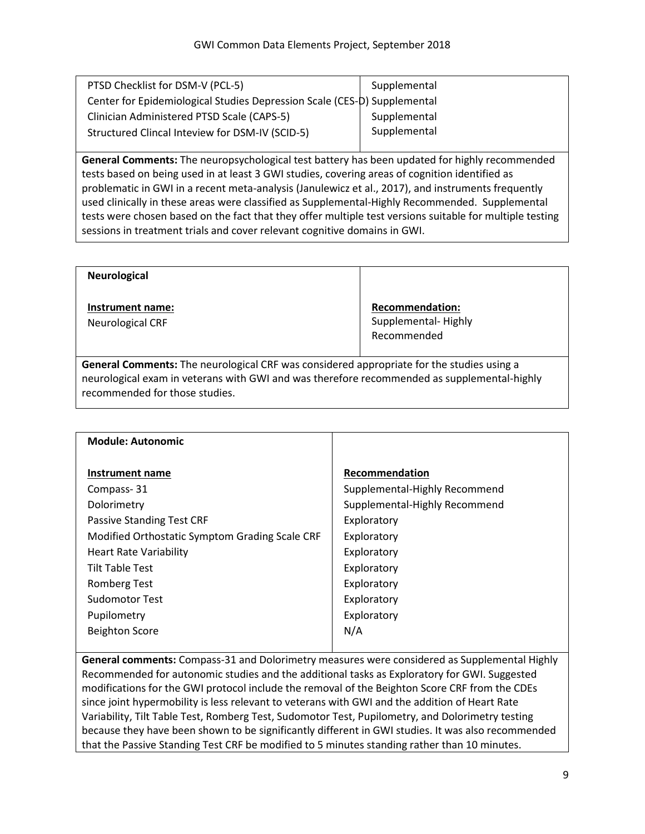| PTSD Checklist for DSM-V (PCL-5)                                         | Supplemental |
|--------------------------------------------------------------------------|--------------|
| Center for Epidemiological Studies Depression Scale (CES-D) Supplemental |              |
| Clinician Administered PTSD Scale (CAPS-5)                               | Supplemental |
| Structured Clincal Inteview for DSM-IV (SCID-5)                          | Supplemental |
|                                                                          |              |

**General Comments:** The neuropsychological test battery has been updated for highly recommended tests based on being used in at least 3 GWI studies, covering areas of cognition identified as problematic in GWI in a recent meta-analysis (Janulewicz et al., 2017), and instruments frequently used clinically in these areas were classified as Supplemental-Highly Recommended. Supplemental tests were chosen based on the fact that they offer multiple test versions suitable for multiple testing sessions in treatment trials and cover relevant cognitive domains in GWI.

| <b>Neurological</b>                         |                                                              |
|---------------------------------------------|--------------------------------------------------------------|
| Instrument name:<br><b>Neurological CRF</b> | <b>Recommendation:</b><br>Supplemental-Highly<br>Recommended |

**General Comments:** The neurological CRF was considered appropriate for the studies using a neurological exam in veterans with GWI and was therefore recommended as supplemental-highly recommended for those studies.

| <b>Module: Autonomic</b>                                                                             |                               |
|------------------------------------------------------------------------------------------------------|-------------------------------|
| Instrument name                                                                                      | Recommendation                |
| Compass-31                                                                                           | Supplemental-Highly Recommend |
| Dolorimetry                                                                                          | Supplemental-Highly Recommend |
| <b>Passive Standing Test CRF</b>                                                                     | Exploratory                   |
| Modified Orthostatic Symptom Grading Scale CRF                                                       | Exploratory                   |
| <b>Heart Rate Variability</b>                                                                        | Exploratory                   |
| <b>Tilt Table Test</b>                                                                               | Exploratory                   |
| <b>Romberg Test</b>                                                                                  | Exploratory                   |
| <b>Sudomotor Test</b>                                                                                | Exploratory                   |
| Pupilometry                                                                                          | Exploratory                   |
| <b>Beighton Score</b>                                                                                | N/A                           |
|                                                                                                      |                               |
| <b>Coneral comments:</b> Compasse 21 and Dolorimetry measures were considered as Sunplemental Highly |                               |

**General comments:** Compass-31 and Dolorimetry measures were considered as Supplemental Highly Recommended for autonomic studies and the additional tasks as Exploratory for GWI. Suggested modifications for the GWI protocol include the removal of the Beighton Score CRF from the CDEs since joint hypermobility is less relevant to veterans with GWI and the addition of Heart Rate Variability, Tilt Table Test, Romberg Test, Sudomotor Test, Pupilometry, and Dolorimetry testing because they have been shown to be significantly different in GWI studies. It was also recommended that the Passive Standing Test CRF be modified to 5 minutes standing rather than 10 minutes.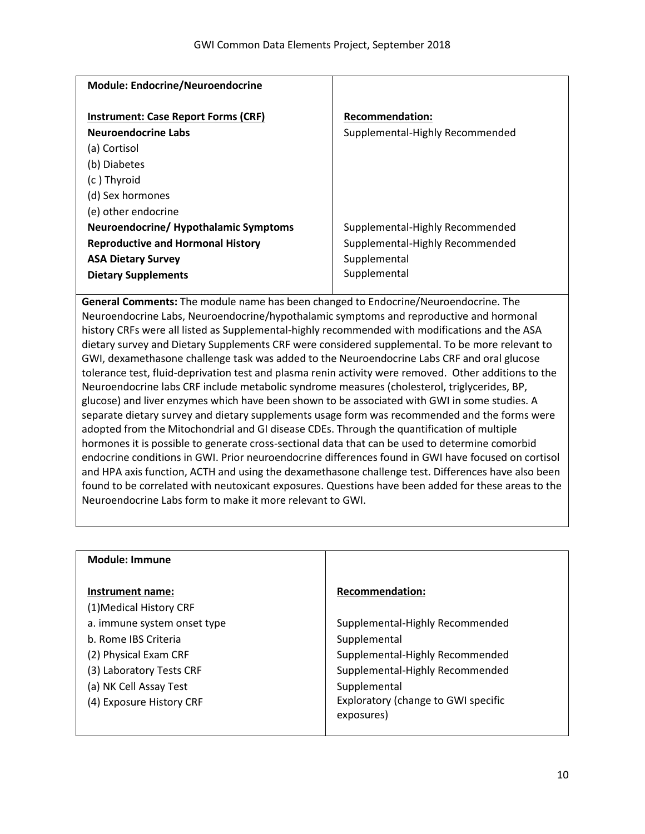| <b>Module: Endocrine/Neuroendocrine</b>                                                             |                                                                 |
|-----------------------------------------------------------------------------------------------------|-----------------------------------------------------------------|
| <b>Instrument: Case Report Forms (CRF)</b><br><b>Neuroendocrine Labs</b><br>(a) Cortisol            | <b>Recommendation:</b><br>Supplemental-Highly Recommended       |
| (b) Diabetes<br>(c) Thyroid<br>(d) Sex hormones                                                     |                                                                 |
| (e) other endocrine<br>Neuroendocrine/ Hypothalamic Symptoms                                        | Supplemental-Highly Recommended                                 |
| <b>Reproductive and Hormonal History</b><br><b>ASA Dietary Survey</b><br><b>Dietary Supplements</b> | Supplemental-Highly Recommended<br>Supplemental<br>Supplemental |
|                                                                                                     |                                                                 |

**General Comments:** The module name has been changed to Endocrine/Neuroendocrine. The Neuroendocrine Labs, Neuroendocrine/hypothalamic symptoms and reproductive and hormonal history CRFs were all listed as Supplemental-highly recommended with modifications and the ASA dietary survey and Dietary Supplements CRF were considered supplemental. To be more relevant to GWI, dexamethasone challenge task was added to the Neuroendocrine Labs CRF and oral glucose tolerance test, fluid-deprivation test and plasma renin activity were removed. Other additions to the Neuroendocrine labs CRF include metabolic syndrome measures (cholesterol, triglycerides, BP, glucose) and liver enzymes which have been shown to be associated with GWI in some studies. A separate dietary survey and dietary supplements usage form was recommended and the forms were adopted from the Mitochondrial and GI disease CDEs. Through the quantification of multiple hormones it is possible to generate cross-sectional data that can be used to determine comorbid endocrine conditions in GWI. Prior neuroendocrine differences found in GWI have focused on cortisol and HPA axis function, ACTH and using the dexamethasone challenge test. Differences have also been found to be correlated with neutoxicant exposures. Questions have been added for these areas to the Neuroendocrine Labs form to make it more relevant to GWI.

| <b>Recommendation:</b>                            |
|---------------------------------------------------|
|                                                   |
| Supplemental-Highly Recommended                   |
| Supplemental                                      |
| Supplemental-Highly Recommended                   |
| Supplemental-Highly Recommended                   |
| Supplemental                                      |
| Exploratory (change to GWI specific<br>exposures) |
|                                                   |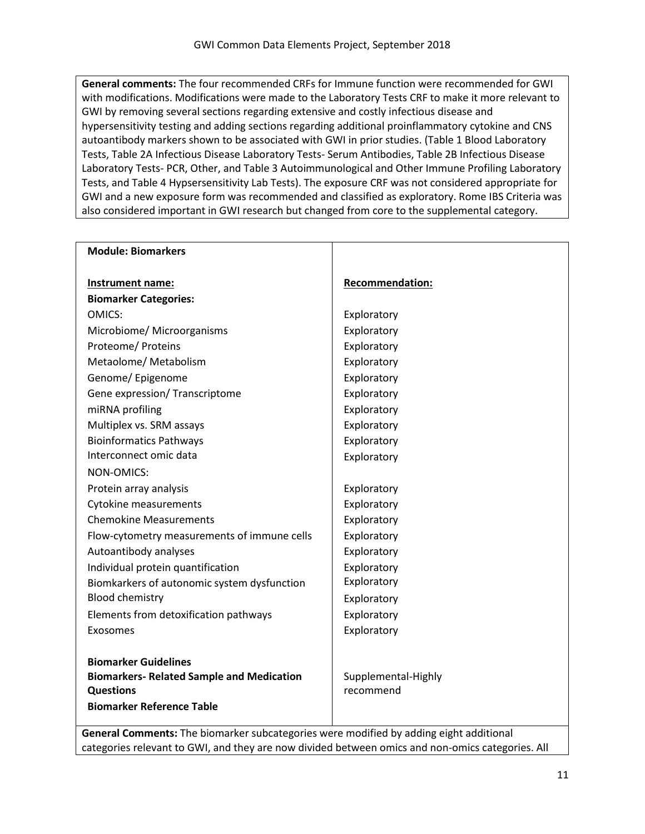**General comments:** The four recommended CRFs for Immune function were recommended for GWI with modifications. Modifications were made to the Laboratory Tests CRF to make it more relevant to GWI by removing several sections regarding extensive and costly infectious disease and hypersensitivity testing and adding sections regarding additional proinflammatory cytokine and CNS autoantibody markers shown to be associated with GWI in prior studies. (Table 1 Blood Laboratory Tests, Table 2A Infectious Disease Laboratory Tests- Serum Antibodies, Table 2B Infectious Disease Laboratory Tests- PCR, Other, and Table 3 Autoimmunological and Other Immune Profiling Laboratory Tests, and Table 4 Hypsersensitivity Lab Tests). The exposure CRF was not considered appropriate for GWI and a new exposure form was recommended and classified as exploratory. Rome IBS Criteria was also considered important in GWI research but changed from core to the supplemental category.

| <b>Module: Biomarkers</b>                                                                                                               |                                  |
|-----------------------------------------------------------------------------------------------------------------------------------------|----------------------------------|
| Instrument name:                                                                                                                        | <b>Recommendation:</b>           |
| <b>Biomarker Categories:</b>                                                                                                            |                                  |
| OMICS:                                                                                                                                  | Exploratory                      |
| Microbiome/ Microorganisms                                                                                                              | Exploratory                      |
| Proteome/ Proteins                                                                                                                      | Exploratory                      |
| Metaolome/ Metabolism                                                                                                                   | Exploratory                      |
| Genome/ Epigenome                                                                                                                       | Exploratory                      |
| Gene expression/ Transcriptome                                                                                                          | Exploratory                      |
| miRNA profiling                                                                                                                         | Exploratory                      |
| Multiplex vs. SRM assays                                                                                                                | Exploratory                      |
| <b>Bioinformatics Pathways</b>                                                                                                          | Exploratory                      |
| Interconnect omic data                                                                                                                  | Exploratory                      |
| NON-OMICS:                                                                                                                              |                                  |
| Protein array analysis                                                                                                                  | Exploratory                      |
| <b>Cytokine measurements</b>                                                                                                            | Exploratory                      |
| <b>Chemokine Measurements</b>                                                                                                           | Exploratory                      |
| Flow-cytometry measurements of immune cells                                                                                             | Exploratory                      |
| Autoantibody analyses                                                                                                                   | Exploratory                      |
| Individual protein quantification                                                                                                       | Exploratory                      |
| Biomkarkers of autonomic system dysfunction                                                                                             | Exploratory                      |
| <b>Blood chemistry</b>                                                                                                                  | Exploratory                      |
| Elements from detoxification pathways                                                                                                   | Exploratory                      |
| Exosomes                                                                                                                                | Exploratory                      |
| <b>Biomarker Guidelines</b><br><b>Biomarkers- Related Sample and Medication</b><br><b>Questions</b><br><b>Biomarker Reference Table</b> | Supplemental-Highly<br>recommend |

**General Comments:** The biomarker subcategories were modified by adding eight additional categories relevant to GWI, and they are now divided between omics and non-omics categories. All